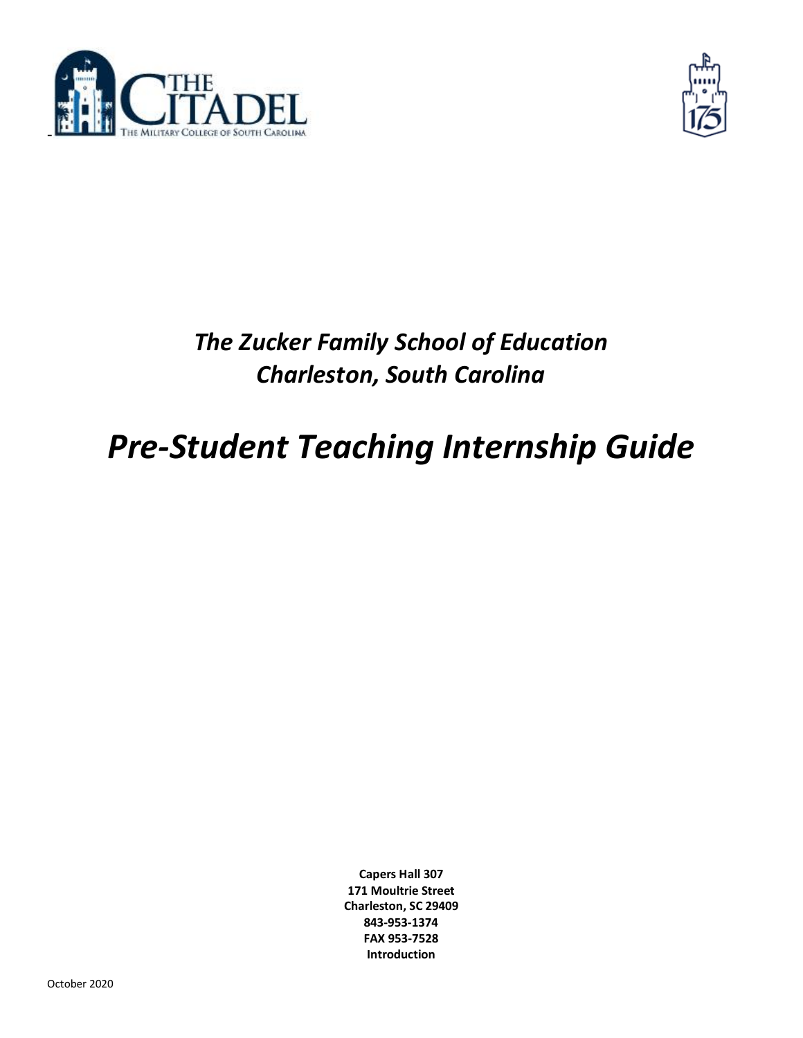



# *The Zucker Family School of Education Charleston, South Carolina*

# *Pre-Student Teaching Internship Guide*

**Capers Hall 307 171 Moultrie Street Charleston, SC 29409 843-953-1374 FAX 953-7528 Introduction**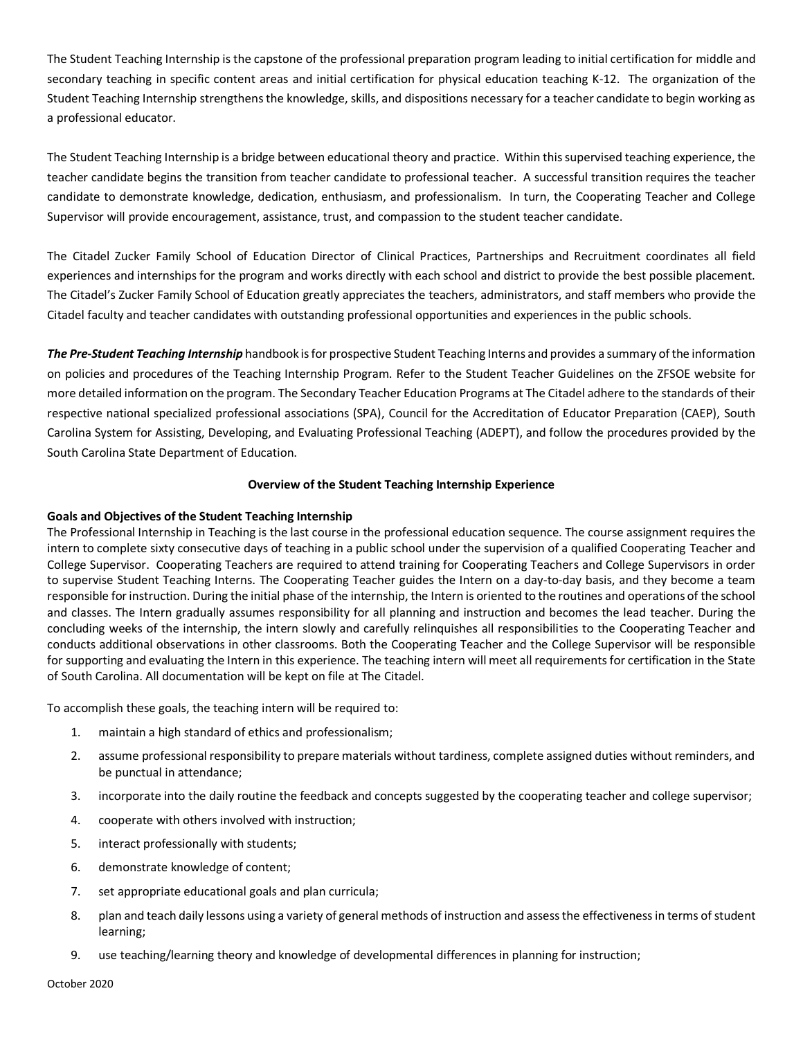The Student Teaching Internship is the capstone of the professional preparation program leading to initial certification for middle and secondary teaching in specific content areas and initial certification for physical education teaching K-12. The organization of the Student Teaching Internship strengthens the knowledge, skills, and dispositions necessary for a teacher candidate to begin working as a professional educator.

The Student Teaching Internship is a bridge between educational theory and practice. Within this supervised teaching experience, the teacher candidate begins the transition from teacher candidate to professional teacher. A successful transition requires the teacher candidate to demonstrate knowledge, dedication, enthusiasm, and professionalism. In turn, the Cooperating Teacher and College Supervisor will provide encouragement, assistance, trust, and compassion to the student teacher candidate.

The Citadel Zucker Family School of Education Director of Clinical Practices, Partnerships and Recruitment coordinates all field experiences and internships for the program and works directly with each school and district to provide the best possible placement. The Citadel's Zucker Family School of Education greatly appreciates the teachers, administrators, and staff members who provide the Citadel faculty and teacher candidates with outstanding professional opportunities and experiences in the public schools.

*The Pre-Student Teaching Internship* handbook is for prospective Student Teaching Interns and provides a summary of the information on policies and procedures of the Teaching Internship Program. Refer to the Student Teacher Guidelines on the ZFSOE website for more detailed information on the program. The Secondary Teacher Education Programs at The Citadel adhere to the standards of their respective national specialized professional associations (SPA), Council for the Accreditation of Educator Preparation (CAEP), South Carolina System for Assisting, Developing, and Evaluating Professional Teaching (ADEPT), and follow the procedures provided by the South Carolina State Department of Education.

## **Overview of the Student Teaching Internship Experience**

# **Goals and Objectives of the Student Teaching Internship**

The Professional Internship in Teaching is the last course in the professional education sequence. The course assignment requires the intern to complete sixty consecutive days of teaching in a public school under the supervision of a qualified Cooperating Teacher and College Supervisor. Cooperating Teachers are required to attend training for Cooperating Teachers and College Supervisors in order to supervise Student Teaching Interns. The Cooperating Teacher guides the Intern on a day-to-day basis, and they become a team responsible for instruction. During the initial phase of the internship, the Intern is oriented to the routines and operations of the school and classes. The Intern gradually assumes responsibility for all planning and instruction and becomes the lead teacher. During the concluding weeks of the internship, the intern slowly and carefully relinquishes all responsibilities to the Cooperating Teacher and conducts additional observations in other classrooms. Both the Cooperating Teacher and the College Supervisor will be responsible for supporting and evaluating the Intern in this experience. The teaching intern will meet all requirements for certification in the State of South Carolina. All documentation will be kept on file at The Citadel.

To accomplish these goals, the teaching intern will be required to:

- 1. maintain a high standard of ethics and professionalism;
- 2. assume professional responsibility to prepare materials without tardiness, complete assigned duties without reminders, and be punctual in attendance;
- 3. incorporate into the daily routine the feedback and concepts suggested by the cooperating teacher and college supervisor;
- 4. cooperate with others involved with instruction;
- 5. interact professionally with students;
- 6. demonstrate knowledge of content;
- 7. set appropriate educational goals and plan curricula;
- 8. plan and teach daily lessons using a variety of general methods of instruction and assess the effectiveness in terms of student learning;
- 9. use teaching/learning theory and knowledge of developmental differences in planning for instruction;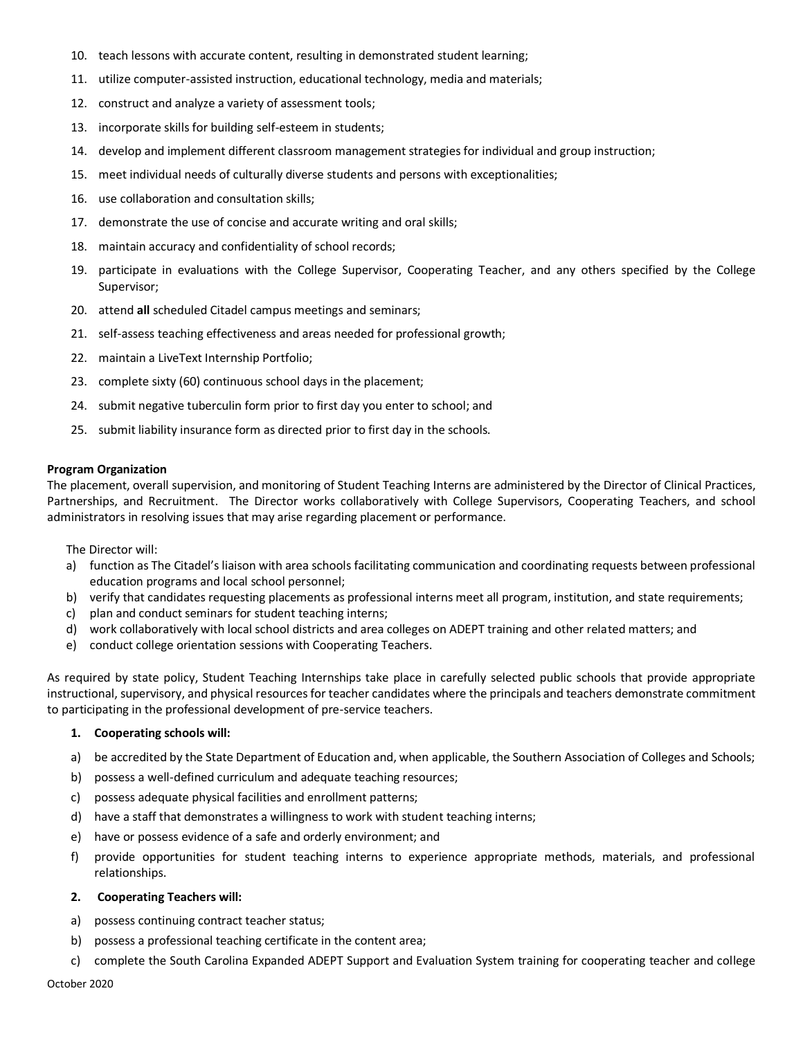- 10. teach lessons with accurate content, resulting in demonstrated student learning;
- 11. utilize computer-assisted instruction, educational technology, media and materials;
- 12. construct and analyze a variety of assessment tools;
- 13. incorporate skills for building self-esteem in students;
- 14. develop and implement different classroom management strategies for individual and group instruction;
- 15. meet individual needs of culturally diverse students and persons with exceptionalities;
- 16. use collaboration and consultation skills;
- 17. demonstrate the use of concise and accurate writing and oral skills;
- 18. maintain accuracy and confidentiality of school records;
- 19. participate in evaluations with the College Supervisor, Cooperating Teacher, and any others specified by the College Supervisor;
- 20. attend **all** scheduled Citadel campus meetings and seminars;
- 21. self-assess teaching effectiveness and areas needed for professional growth;
- 22. maintain a LiveText Internship Portfolio;
- 23. complete sixty (60) continuous school days in the placement;
- 24. submit negative tuberculin form prior to first day you enter to school; and
- 25. submit liability insurance form as directed prior to first day in the schools.

#### **Program Organization**

The placement, overall supervision, and monitoring of Student Teaching Interns are administered by the Director of Clinical Practices, Partnerships, and Recruitment. The Director works collaboratively with College Supervisors, Cooperating Teachers, and school administrators in resolving issues that may arise regarding placement or performance.

The Director will:

- a) function as The Citadel's liaison with area schools facilitating communication and coordinating requests between professional education programs and local school personnel;
- b) verify that candidates requesting placements as professional interns meet all program, institution, and state requirements;
- c) plan and conduct seminars for student teaching interns;
- d) work collaboratively with local school districts and area colleges on ADEPT training and other related matters; and
- e) conduct college orientation sessions with Cooperating Teachers.

As required by state policy, Student Teaching Internships take place in carefully selected public schools that provide appropriate instructional, supervisory, and physical resources for teacher candidates where the principals and teachers demonstrate commitment to participating in the professional development of pre-service teachers.

#### **1. Cooperating schools will:**

- a) be accredited by the State Department of Education and, when applicable, the Southern Association of Colleges and Schools;
- b) possess a well-defined curriculum and adequate teaching resources;
- c) possess adequate physical facilities and enrollment patterns;
- d) have a staff that demonstrates a willingness to work with student teaching interns;
- e) have or possess evidence of a safe and orderly environment; and
- f) provide opportunities for student teaching interns to experience appropriate methods, materials, and professional relationships.

#### **2. Cooperating Teachers will:**

- a) possess continuing contract teacher status;
- b) possess a professional teaching certificate in the content area;
- c) complete the South Carolina Expanded ADEPT Support and Evaluation System training for cooperating teacher and college